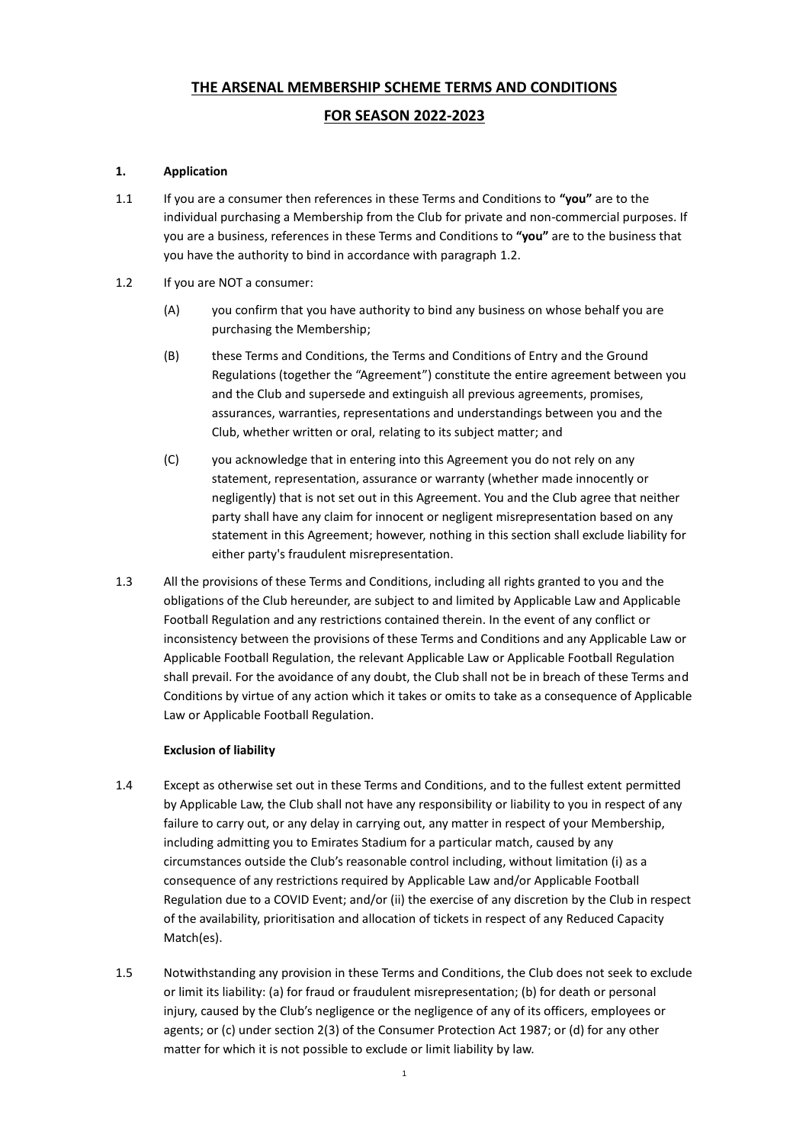# **THE ARSENAL MEMBERSHIP SCHEME TERMS AND CONDITIONS**

# **FOR SEASON 2022-2023**

## **1. Application**

- 1.1 If you are a consumer then references in these Terms and Conditions to **"you"** are to the individual purchasing a Membership from the Club for private and non-commercial purposes. If you are a business, references in these Terms and Conditions to **"you"** are to the business that you have the authority to bind in accordance with paragraph [1.2.](#page-0-0)
- <span id="page-0-0"></span>1.2 If you are NOT a consumer:
	- (A) you confirm that you have authority to bind any business on whose behalf you are purchasing the Membership;
	- (B) these Terms and Conditions, the Terms and Conditions of Entry and the Ground Regulations (together the "Agreement") constitute the entire agreement between you and the Club and supersede and extinguish all previous agreements, promises, assurances, warranties, representations and understandings between you and the Club, whether written or oral, relating to its subject matter; and
	- (C) you acknowledge that in entering into this Agreement you do not rely on any statement, representation, assurance or warranty (whether made innocently or negligently) that is not set out in this Agreement. You and the Club agree that neither party shall have any claim for innocent or negligent misrepresentation based on any statement in this Agreement; however, nothing in this section shall exclude liability for either party's fraudulent misrepresentation.
- 1.3 All the provisions of these Terms and Conditions, including all rights granted to you and the obligations of the Club hereunder, are subject to and limited by Applicable Law and Applicable Football Regulation and any restrictions contained therein. In the event of any conflict or inconsistency between the provisions of these Terms and Conditions and any Applicable Law or Applicable Football Regulation, the relevant Applicable Law or Applicable Football Regulation shall prevail. For the avoidance of any doubt, the Club shall not be in breach of these Terms and Conditions by virtue of any action which it takes or omits to take as a consequence of Applicable Law or Applicable Football Regulation.

## **Exclusion of liability**

- 1.4 Except as otherwise set out in these Terms and Conditions, and to the fullest extent permitted by Applicable Law, the Club shall not have any responsibility or liability to you in respect of any failure to carry out, or any delay in carrying out, any matter in respect of your Membership, including admitting you to Emirates Stadium for a particular match, caused by any circumstances outside the Club's reasonable control including, without limitation (i) as a consequence of any restrictions required by Applicable Law and/or Applicable Football Regulation due to a COVID Event; and/or (ii) the exercise of any discretion by the Club in respect of the availability, prioritisation and allocation of tickets in respect of any Reduced Capacity Match(es).
- 1.5 Notwithstanding any provision in these Terms and Conditions, the Club does not seek to exclude or limit its liability: (a) for fraud or fraudulent misrepresentation; (b) for death or personal injury, caused by the Club's negligence or the negligence of any of its officers, employees or agents; or (c) under section 2(3) of the Consumer Protection Act 1987; or (d) for any other matter for which it is not possible to exclude or limit liability by law.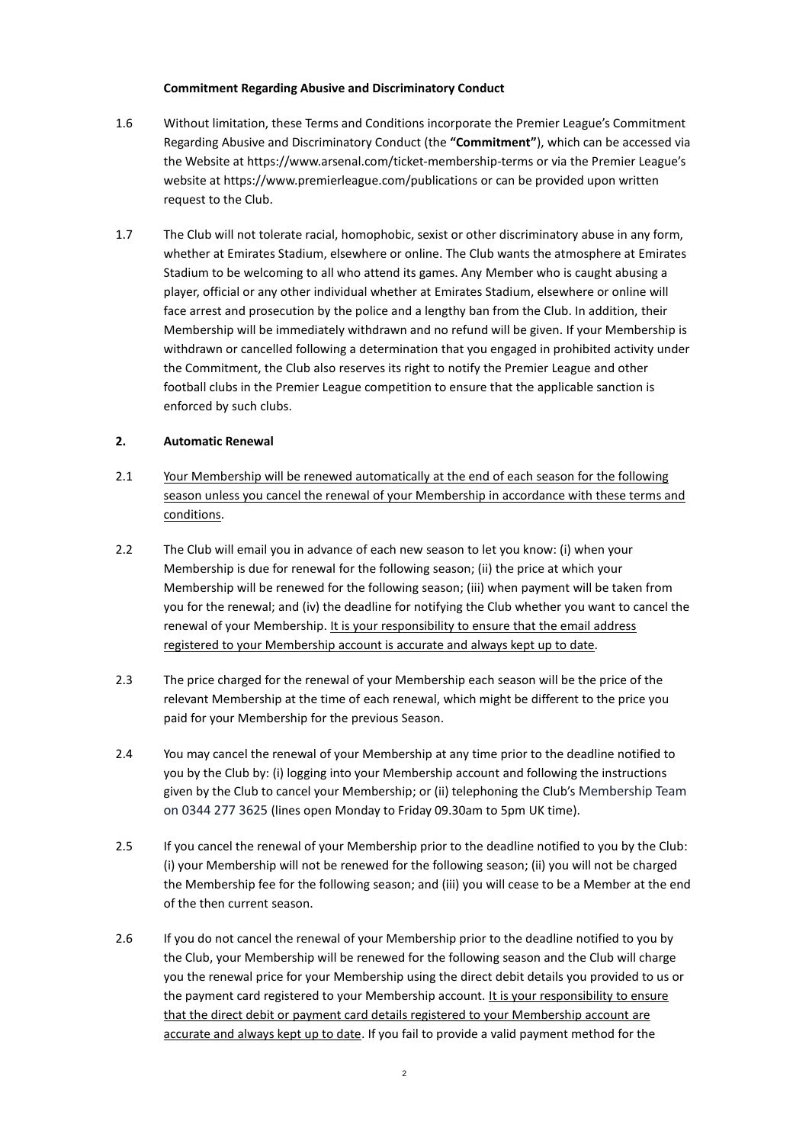#### **Commitment Regarding Abusive and Discriminatory Conduct**

- 1.6 Without limitation, these Terms and Conditions incorporate the Premier League's Commitment Regarding Abusive and Discriminatory Conduct (the **"Commitment"**), which can be accessed via the Website at https://www.arsenal.com/ticket-membership-terms or via the Premier League's website at https://www.premierleague.com/publications or can be provided upon written request to the Club.
- 1.7 The Club will not tolerate racial, homophobic, sexist or other discriminatory abuse in any form, whether at Emirates Stadium, elsewhere or online. The Club wants the atmosphere at Emirates Stadium to be welcoming to all who attend its games. Any Member who is caught abusing a player, official or any other individual whether at Emirates Stadium, elsewhere or online will face arrest and prosecution by the police and a lengthy ban from the Club. In addition, their Membership will be immediately withdrawn and no refund will be given. If your Membership is withdrawn or cancelled following a determination that you engaged in prohibited activity under the Commitment, the Club also reserves its right to notify the Premier League and other football clubs in the Premier League competition to ensure that the applicable sanction is enforced by such clubs.

## **2. Automatic Renewal**

- 2.1 Your Membership will be renewed automatically at the end of each season for the following season unless you cancel the renewal of your Membership in accordance with these terms and conditions.
- 2.2 The Club will email you in advance of each new season to let you know: (i) when your Membership is due for renewal for the following season; (ii) the price at which your Membership will be renewed for the following season; (iii) when payment will be taken from you for the renewal; and (iv) the deadline for notifying the Club whether you want to cancel the renewal of your Membership. It is your responsibility to ensure that the email address registered to your Membership account is accurate and always kept up to date.
- 2.3 The price charged for the renewal of your Membership each season will be the price of the relevant Membership at the time of each renewal, which might be different to the price you paid for your Membership for the previous Season.
- 2.4 You may cancel the renewal of your Membership at any time prior to the deadline notified to you by the Club by: (i) logging into your Membership account and following the instructions given by the Club to cancel your Membership; or (ii) telephoning the Club's Membership Team on 0344 277 3625 (lines open Monday to Friday 09.30am to 5pm UK time).
- 2.5 If you cancel the renewal of your Membership prior to the deadline notified to you by the Club: (i) your Membership will not be renewed for the following season; (ii) you will not be charged the Membership fee for the following season; and (iii) you will cease to be a Member at the end of the then current season.
- 2.6 If you do not cancel the renewal of your Membership prior to the deadline notified to you by the Club, your Membership will be renewed for the following season and the Club will charge you the renewal price for your Membership using the direct debit details you provided to us or the payment card registered to your Membership account. It is your responsibility to ensure that the direct debit or payment card details registered to your Membership account are accurate and always kept up to date. If you fail to provide a valid payment method for the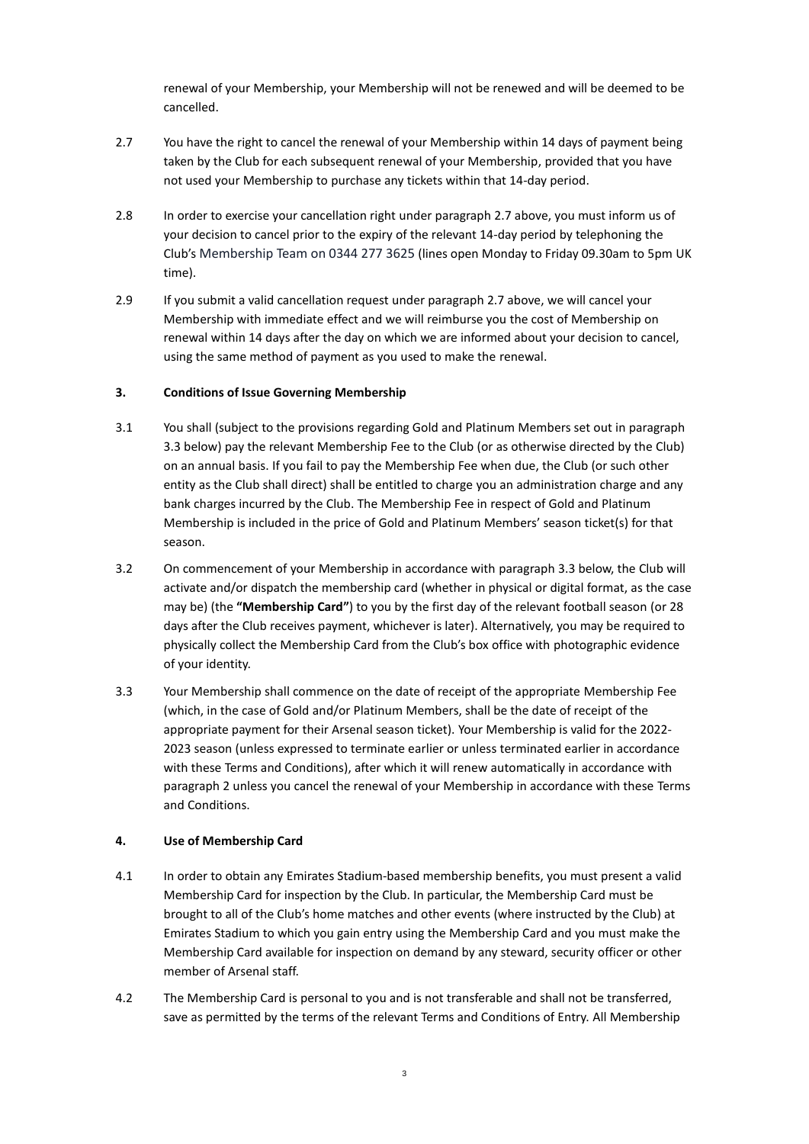renewal of your Membership, your Membership will not be renewed and will be deemed to be cancelled.

- 2.7 You have the right to cancel the renewal of your Membership within 14 days of payment being taken by the Club for each subsequent renewal of your Membership, provided that you have not used your Membership to purchase any tickets within that 14-day period.
- 2.8 In order to exercise your cancellation right under paragraph 2.7 above, you must inform us of your decision to cancel prior to the expiry of the relevant 14-day period by telephoning the Club's Membership Team on 0344 277 3625 (lines open Monday to Friday 09.30am to 5pm UK time).
- 2.9 If you submit a valid cancellation request under paragraph 2.7 above, we will cancel your Membership with immediate effect and we will reimburse you the cost of Membership on renewal within 14 days after the day on which we are informed about your decision to cancel, using the same method of payment as you used to make the renewal.

## **3. Conditions of Issue Governing Membership**

- 3.1 You shall (subject to the provisions regarding Gold and Platinum Members set out in paragraph 3.3 below) pay the relevant Membership Fee to the Club (or as otherwise directed by the Club) on an annual basis. If you fail to pay the Membership Fee when due, the Club (or such other entity as the Club shall direct) shall be entitled to charge you an administration charge and any bank charges incurred by the Club. The Membership Fee in respect of Gold and Platinum Membership is included in the price of Gold and Platinum Members' season ticket(s) for that season.
- 3.2 On commencement of your Membership in accordance with paragraph 3.3 below, the Club will activate and/or dispatch the membership card (whether in physical or digital format, as the case may be) (the **"Membership Card"**) to you by the first day of the relevant football season (or 28 days after the Club receives payment, whichever is later). Alternatively, you may be required to physically collect the Membership Card from the Club's box office with photographic evidence of your identity.
- 3.3 Your Membership shall commence on the date of receipt of the appropriate Membership Fee (which, in the case of Gold and/or Platinum Members, shall be the date of receipt of the appropriate payment for their Arsenal season ticket). Your Membership is valid for the 2022- 2023 season (unless expressed to terminate earlier or unless terminated earlier in accordance with these Terms and Conditions), after which it will renew automatically in accordance with paragraph 2 unless you cancel the renewal of your Membership in accordance with these Terms and Conditions.

## **4. Use of Membership Card**

- 4.1 In order to obtain any Emirates Stadium-based membership benefits, you must present a valid Membership Card for inspection by the Club. In particular, the Membership Card must be brought to all of the Club's home matches and other events (where instructed by the Club) at Emirates Stadium to which you gain entry using the Membership Card and you must make the Membership Card available for inspection on demand by any steward, security officer or other member of Arsenal staff.
- 4.2 The Membership Card is personal to you and is not transferable and shall not be transferred, save as permitted by the terms of the relevant Terms and Conditions of Entry. All Membership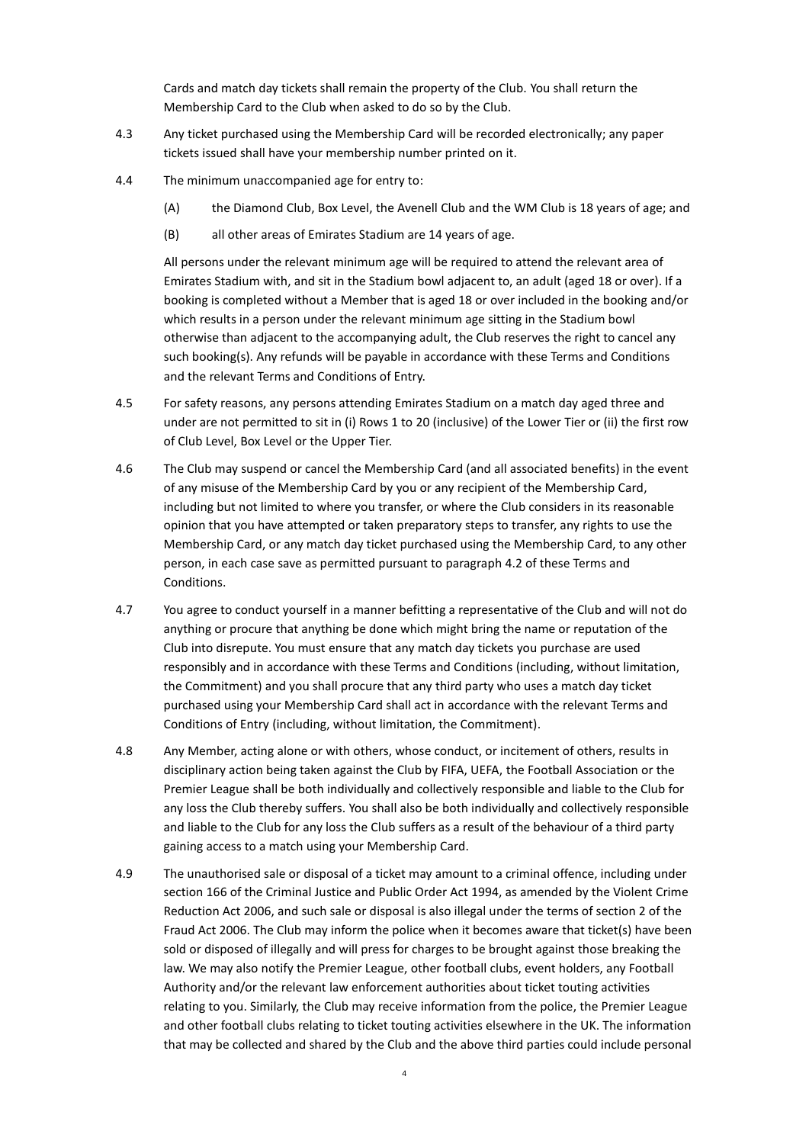Cards and match day tickets shall remain the property of the Club. You shall return the Membership Card to the Club when asked to do so by the Club.

- 4.3 Any ticket purchased using the Membership Card will be recorded electronically; any paper tickets issued shall have your membership number printed on it.
- 4.4 The minimum unaccompanied age for entry to:
	- (A) the Diamond Club, Box Level, the Avenell Club and the WM Club is 18 years of age; and
	- (B) all other areas of Emirates Stadium are 14 years of age.

All persons under the relevant minimum age will be required to attend the relevant area of Emirates Stadium with, and sit in the Stadium bowl adjacent to, an adult (aged 18 or over). If a booking is completed without a Member that is aged 18 or over included in the booking and/or which results in a person under the relevant minimum age sitting in the Stadium bowl otherwise than adjacent to the accompanying adult, the Club reserves the right to cancel any such booking(s). Any refunds will be payable in accordance with these Terms and Conditions and the relevant Terms and Conditions of Entry.

- 4.5 For safety reasons, any persons attending Emirates Stadium on a match day aged three and under are not permitted to sit in (i) Rows 1 to 20 (inclusive) of the Lower Tier or (ii) the first row of Club Level, Box Level or the Upper Tier.
- 4.6 The Club may suspend or cancel the Membership Card (and all associated benefits) in the event of any misuse of the Membership Card by you or any recipient of the Membership Card, including but not limited to where you transfer, or where the Club considers in its reasonable opinion that you have attempted or taken preparatory steps to transfer, any rights to use the Membership Card, or any match day ticket purchased using the Membership Card, to any other person, in each case save as permitted pursuant to paragraph 4.2 of these Terms and Conditions.
- 4.7 You agree to conduct yourself in a manner befitting a representative of the Club and will not do anything or procure that anything be done which might bring the name or reputation of the Club into disrepute. You must ensure that any match day tickets you purchase are used responsibly and in accordance with these Terms and Conditions (including, without limitation, the Commitment) and you shall procure that any third party who uses a match day ticket purchased using your Membership Card shall act in accordance with the relevant Terms and Conditions of Entry (including, without limitation, the Commitment).
- 4.8 Any Member, acting alone or with others, whose conduct, or incitement of others, results in disciplinary action being taken against the Club by FIFA, UEFA, the Football Association or the Premier League shall be both individually and collectively responsible and liable to the Club for any loss the Club thereby suffers. You shall also be both individually and collectively responsible and liable to the Club for any loss the Club suffers as a result of the behaviour of a third party gaining access to a match using your Membership Card.
- 4.9 The unauthorised sale or disposal of a ticket may amount to a criminal offence, including under section 166 of the Criminal Justice and Public Order Act 1994, as amended by the Violent Crime Reduction Act 2006, and such sale or disposal is also illegal under the terms of section 2 of the Fraud Act 2006. The Club may inform the police when it becomes aware that ticket(s) have been sold or disposed of illegally and will press for charges to be brought against those breaking the law. We may also notify the Premier League, other football clubs, event holders, any Football Authority and/or the relevant law enforcement authorities about ticket touting activities relating to you. Similarly, the Club may receive information from the police, the Premier League and other football clubs relating to ticket touting activities elsewhere in the UK. The information that may be collected and shared by the Club and the above third parties could include personal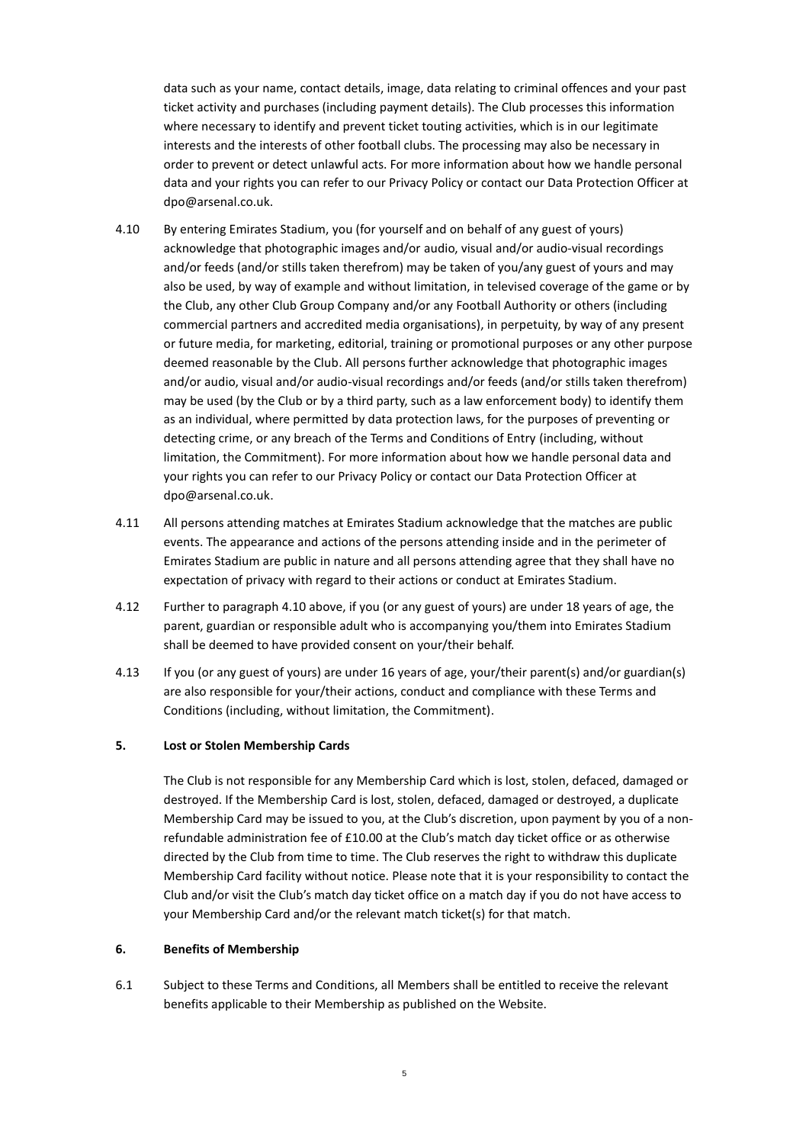data such as your name, contact details, image, data relating to criminal offences and your past ticket activity and purchases (including payment details). The Club processes this information where necessary to identify and prevent ticket touting activities, which is in our legitimate interests and the interests of other football clubs. The processing may also be necessary in order to prevent or detect unlawful acts. For more information about how we handle personal data and your rights you can refer to our Privacy Policy or contact our Data Protection Officer at dpo@arsenal.co.uk.

- 4.10 By entering Emirates Stadium, you (for yourself and on behalf of any guest of yours) acknowledge that photographic images and/or audio, visual and/or audio-visual recordings and/or feeds (and/or stills taken therefrom) may be taken of you/any guest of yours and may also be used, by way of example and without limitation, in televised coverage of the game or by the Club, any other Club Group Company and/or any Football Authority or others (including commercial partners and accredited media organisations), in perpetuity, by way of any present or future media, for marketing, editorial, training or promotional purposes or any other purpose deemed reasonable by the Club. All persons further acknowledge that photographic images and/or audio, visual and/or audio-visual recordings and/or feeds (and/or stills taken therefrom) may be used (by the Club or by a third party, such as a law enforcement body) to identify them as an individual, where permitted by data protection laws, for the purposes of preventing or detecting crime, or any breach of the Terms and Conditions of Entry (including, without limitation, the Commitment). For more information about how we handle personal data and your rights you can refer to our Privacy Policy or contact our Data Protection Officer at dpo@arsenal.co.uk.
- 4.11 All persons attending matches at Emirates Stadium acknowledge that the matches are public events. The appearance and actions of the persons attending inside and in the perimeter of Emirates Stadium are public in nature and all persons attending agree that they shall have no expectation of privacy with regard to their actions or conduct at Emirates Stadium.
- 4.12 Further to paragraph 4.10 above, if you (or any guest of yours) are under 18 years of age, the parent, guardian or responsible adult who is accompanying you/them into Emirates Stadium shall be deemed to have provided consent on your/their behalf.
- 4.13 If you (or any guest of yours) are under 16 years of age, your/their parent(s) and/or guardian(s) are also responsible for your/their actions, conduct and compliance with these Terms and Conditions (including, without limitation, the Commitment).

#### **5. Lost or Stolen Membership Cards**

The Club is not responsible for any Membership Card which is lost, stolen, defaced, damaged or destroyed. If the Membership Card is lost, stolen, defaced, damaged or destroyed, a duplicate Membership Card may be issued to you, at the Club's discretion, upon payment by you of a nonrefundable administration fee of £10.00 at the Club's match day ticket office or as otherwise directed by the Club from time to time. The Club reserves the right to withdraw this duplicate Membership Card facility without notice. Please note that it is your responsibility to contact the Club and/or visit the Club's match day ticket office on a match day if you do not have access to your Membership Card and/or the relevant match ticket(s) for that match.

#### **6. Benefits of Membership**

6.1 Subject to these Terms and Conditions, all Members shall be entitled to receive the relevant benefits applicable to their Membership as published on the Website.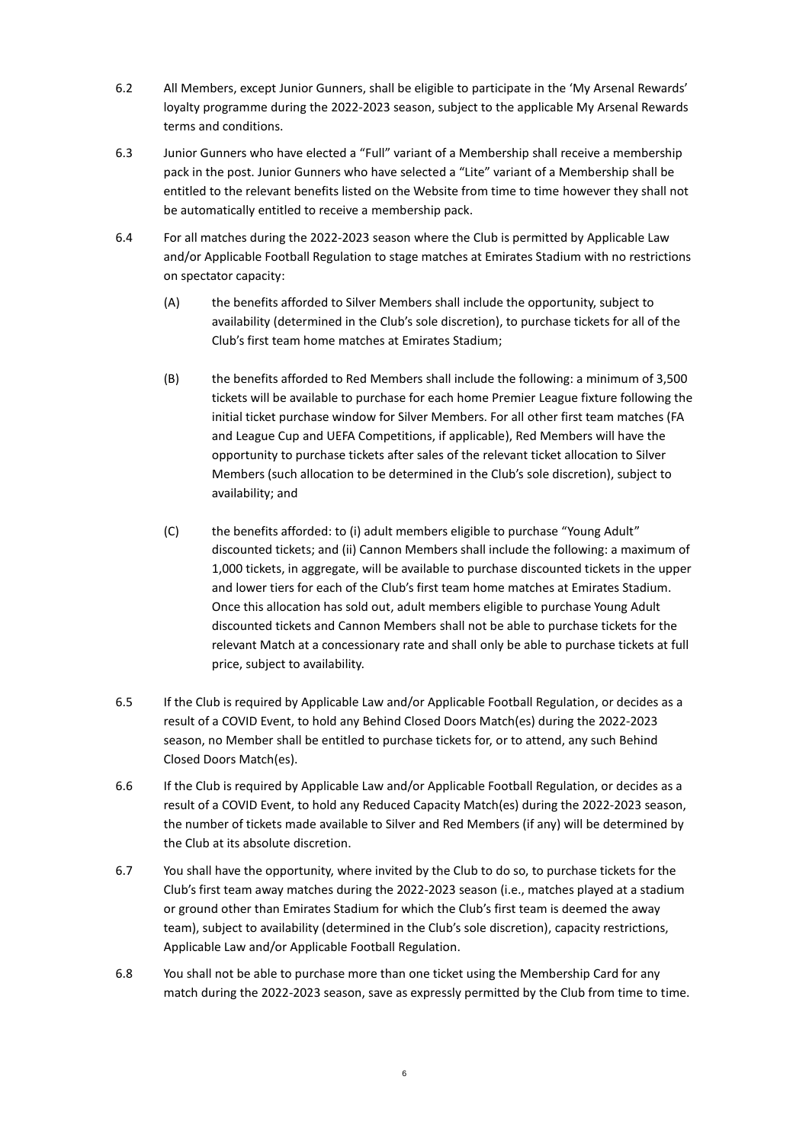- 6.2 All Members, except Junior Gunners, shall be eligible to participate in the 'My Arsenal Rewards' loyalty programme during the 2022-2023 season, subject to the applicable My Arsenal Rewards terms and conditions.
- 6.3 Junior Gunners who have elected a "Full" variant of a Membership shall receive a membership pack in the post. Junior Gunners who have selected a "Lite" variant of a Membership shall be entitled to the relevant benefits listed on the Website from time to time however they shall not be automatically entitled to receive a membership pack.
- 6.4 For all matches during the 2022-2023 season where the Club is permitted by Applicable Law and/or Applicable Football Regulation to stage matches at Emirates Stadium with no restrictions on spectator capacity:
	- (A) the benefits afforded to Silver Members shall include the opportunity, subject to availability (determined in the Club's sole discretion), to purchase tickets for all of the Club's first team home matches at Emirates Stadium;
	- (B) the benefits afforded to Red Members shall include the following: a minimum of 3,500 tickets will be available to purchase for each home Premier League fixture following the initial ticket purchase window for Silver Members. For all other first team matches (FA and League Cup and UEFA Competitions, if applicable), Red Members will have the opportunity to purchase tickets after sales of the relevant ticket allocation to Silver Members (such allocation to be determined in the Club's sole discretion), subject to availability; and
	- (C) the benefits afforded: to (i) adult members eligible to purchase "Young Adult" discounted tickets; and (ii) Cannon Members shall include the following: a maximum of 1,000 tickets, in aggregate, will be available to purchase discounted tickets in the upper and lower tiers for each of the Club's first team home matches at Emirates Stadium. Once this allocation has sold out, adult members eligible to purchase Young Adult discounted tickets and Cannon Members shall not be able to purchase tickets for the relevant Match at a concessionary rate and shall only be able to purchase tickets at full price, subject to availability.
- 6.5 If the Club is required by Applicable Law and/or Applicable Football Regulation, or decides as a result of a COVID Event, to hold any Behind Closed Doors Match(es) during the 2022-2023 season, no Member shall be entitled to purchase tickets for, or to attend, any such Behind Closed Doors Match(es).
- 6.6 If the Club is required by Applicable Law and/or Applicable Football Regulation, or decides as a result of a COVID Event, to hold any Reduced Capacity Match(es) during the 2022-2023 season, the number of tickets made available to Silver and Red Members (if any) will be determined by the Club at its absolute discretion.
- 6.7 You shall have the opportunity, where invited by the Club to do so, to purchase tickets for the Club's first team away matches during the 2022-2023 season (i.e., matches played at a stadium or ground other than Emirates Stadium for which the Club's first team is deemed the away team), subject to availability (determined in the Club's sole discretion), capacity restrictions, Applicable Law and/or Applicable Football Regulation.
- 6.8 You shall not be able to purchase more than one ticket using the Membership Card for any match during the 2022-2023 season, save as expressly permitted by the Club from time to time.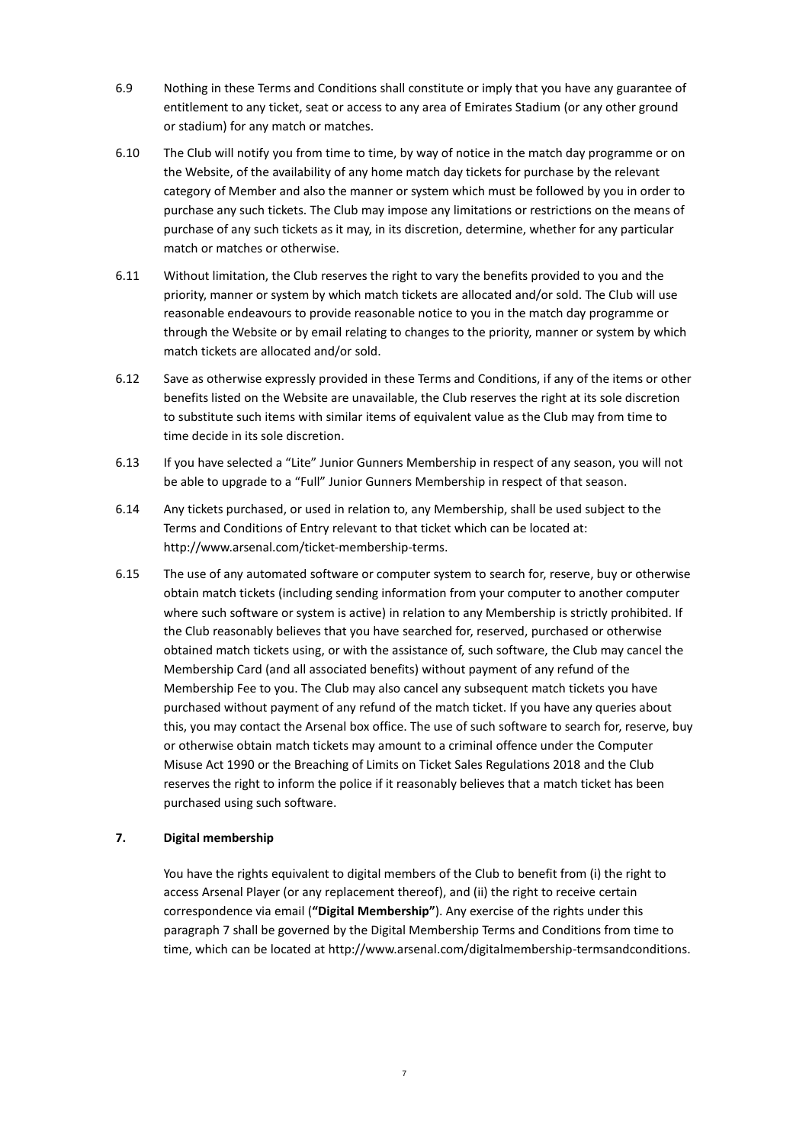- 6.9 Nothing in these Terms and Conditions shall constitute or imply that you have any guarantee of entitlement to any ticket, seat or access to any area of Emirates Stadium (or any other ground or stadium) for any match or matches.
- 6.10 The Club will notify you from time to time, by way of notice in the match day programme or on the Website, of the availability of any home match day tickets for purchase by the relevant category of Member and also the manner or system which must be followed by you in order to purchase any such tickets. The Club may impose any limitations or restrictions on the means of purchase of any such tickets as it may, in its discretion, determine, whether for any particular match or matches or otherwise.
- 6.11 Without limitation, the Club reserves the right to vary the benefits provided to you and the priority, manner or system by which match tickets are allocated and/or sold. The Club will use reasonable endeavours to provide reasonable notice to you in the match day programme or through the Website or by email relating to changes to the priority, manner or system by which match tickets are allocated and/or sold.
- 6.12 Save as otherwise expressly provided in these Terms and Conditions, if any of the items or other benefits listed on the Website are unavailable, the Club reserves the right at its sole discretion to substitute such items with similar items of equivalent value as the Club may from time to time decide in its sole discretion.
- 6.13 If you have selected a "Lite" Junior Gunners Membership in respect of any season, you will not be able to upgrade to a "Full" Junior Gunners Membership in respect of that season.
- 6.14 Any tickets purchased, or used in relation to, any Membership, shall be used subject to the Terms and Conditions of Entry relevant to that ticket which can be located at: [http://www.arsenal.com/ticket-membership-terms.](http://www.arsenal.com/ticket-membership-terms)
- 6.15 The use of any automated software or computer system to search for, reserve, buy or otherwise obtain match tickets (including sending information from your computer to another computer where such software or system is active) in relation to any Membership is strictly prohibited. If the Club reasonably believes that you have searched for, reserved, purchased or otherwise obtained match tickets using, or with the assistance of, such software, the Club may cancel the Membership Card (and all associated benefits) without payment of any refund of the Membership Fee to you. The Club may also cancel any subsequent match tickets you have purchased without payment of any refund of the match ticket. If you have any queries about this, you may contact the Arsenal box office. The use of such software to search for, reserve, buy or otherwise obtain match tickets may amount to a criminal offence under the Computer Misuse Act 1990 or the Breaching of Limits on Ticket Sales Regulations 2018 and the Club reserves the right to inform the police if it reasonably believes that a match ticket has been purchased using such software.

## **7. Digital membership**

You have the rights equivalent to digital members of the Club to benefit from (i) the right to access Arsenal Player (or any replacement thereof), and (ii) the right to receive certain correspondence via email (**"Digital Membership"**). Any exercise of the rights under this paragraph 7 shall be governed by the Digital Membership Terms and Conditions from time to time, which can be located a[t http://www.arsenal.com/digitalmembership-termsandconditions.](http://www.arsenal.com/digitalmembership-termsandconditions)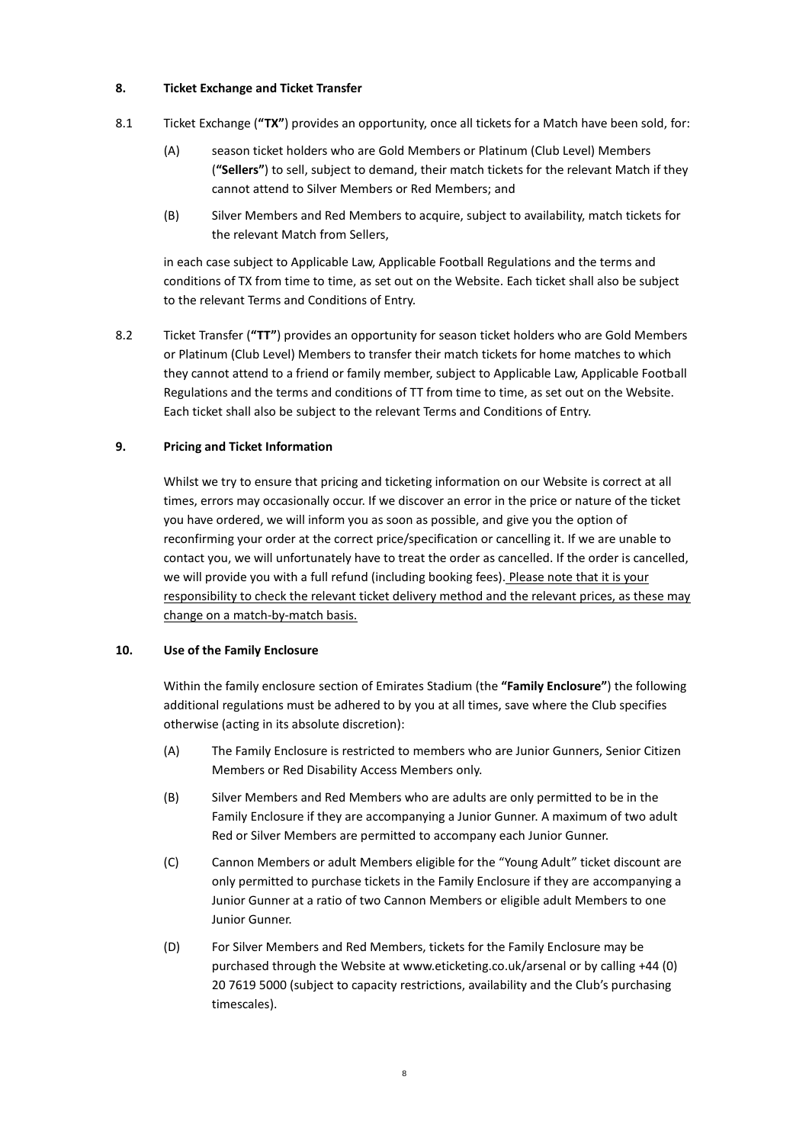## **8. Ticket Exchange and Ticket Transfer**

- 8.1 Ticket Exchange (**"TX"**) provides an opportunity, once all tickets for a Match have been sold, for:
	- (A) season ticket holders who are Gold Members or Platinum (Club Level) Members (**"Sellers"**) to sell, subject to demand, their match tickets for the relevant Match if they cannot attend to Silver Members or Red Members; and
	- (B) Silver Members and Red Members to acquire, subject to availability, match tickets for the relevant Match from Sellers,

in each case subject to Applicable Law, Applicable Football Regulations and the terms and conditions of TX from time to time, as set out on the Website. Each ticket shall also be subject to the relevant Terms and Conditions of Entry.

8.2 Ticket Transfer (**"TT"**) provides an opportunity for season ticket holders who are Gold Members or Platinum (Club Level) Members to transfer their match tickets for home matches to which they cannot attend to a friend or family member, subject to Applicable Law, Applicable Football Regulations and the terms and conditions of TT from time to time, as set out on the Website. Each ticket shall also be subject to the relevant Terms and Conditions of Entry.

## **9. Pricing and Ticket Information**

Whilst we try to ensure that pricing and ticketing information on our Website is correct at all times, errors may occasionally occur. If we discover an error in the price or nature of the ticket you have ordered, we will inform you as soon as possible, and give you the option of reconfirming your order at the correct price/specification or cancelling it. If we are unable to contact you, we will unfortunately have to treat the order as cancelled. If the order is cancelled, we will provide you with a full refund (including booking fees). Please note that it is your responsibility to check the relevant ticket delivery method and the relevant prices, as these may change on a match-by-match basis.

## **10. Use of the Family Enclosure**

Within the family enclosure section of Emirates Stadium (the **"Family Enclosure"**) the following additional regulations must be adhered to by you at all times, save where the Club specifies otherwise (acting in its absolute discretion):

- (A) The Family Enclosure is restricted to members who are Junior Gunners, Senior Citizen Members or Red Disability Access Members only.
- (B) Silver Members and Red Members who are adults are only permitted to be in the Family Enclosure if they are accompanying a Junior Gunner. A maximum of two adult Red or Silver Members are permitted to accompany each Junior Gunner.
- (C) Cannon Members or adult Members eligible for the "Young Adult" ticket discount are only permitted to purchase tickets in the Family Enclosure if they are accompanying a Junior Gunner at a ratio of two Cannon Members or eligible adult Members to one Junior Gunner.
- (D) For Silver Members and Red Members, tickets for the Family Enclosure may be purchased through the Website a[t www.eticketing.co.uk/arsenal](http://www.eticketing.co.uk/arsenal) or by calling +44 (0) 20 7619 5000 (subject to capacity restrictions, availability and the Club's purchasing timescales).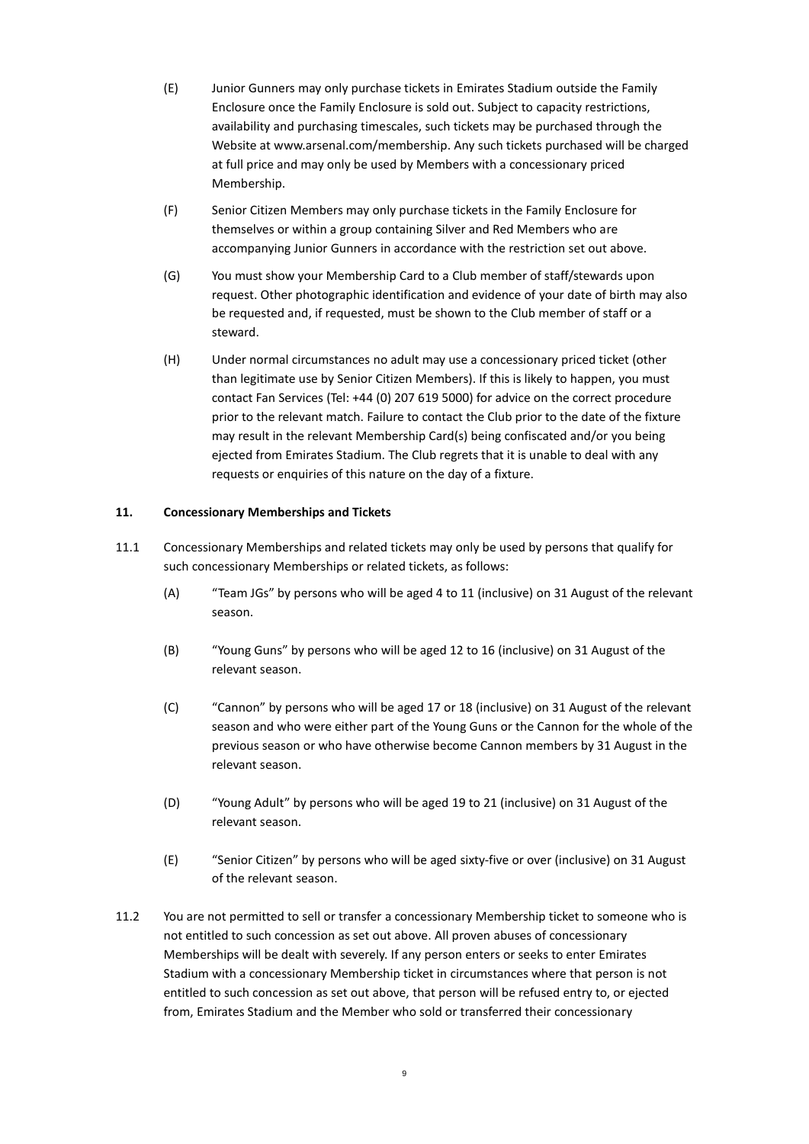- (E) Junior Gunners may only purchase tickets in Emirates Stadium outside the Family Enclosure once the Family Enclosure is sold out. Subject to capacity restrictions, availability and purchasing timescales, such tickets may be purchased through the Website a[t www.arsenal.com/membership.](http://www.arsenal.com/membership) Any such tickets purchased will be charged at full price and may only be used by Members with a concessionary priced Membership.
- (F) Senior Citizen Members may only purchase tickets in the Family Enclosure for themselves or within a group containing Silver and Red Members who are accompanying Junior Gunners in accordance with the restriction set out above.
- (G) You must show your Membership Card to a Club member of staff/stewards upon request. Other photographic identification and evidence of your date of birth may also be requested and, if requested, must be shown to the Club member of staff or a steward.
- (H) Under normal circumstances no adult may use a concessionary priced ticket (other than legitimate use by Senior Citizen Members). If this is likely to happen, you must contact Fan Services (Tel: +44 (0) 207 619 5000) for advice on the correct procedure prior to the relevant match. Failure to contact the Club prior to the date of the fixture may result in the relevant Membership Card(s) being confiscated and/or you being ejected from Emirates Stadium. The Club regrets that it is unable to deal with any requests or enquiries of this nature on the day of a fixture.

## **11. Concessionary Memberships and Tickets**

- 11.1 Concessionary Memberships and related tickets may only be used by persons that qualify for such concessionary Memberships or related tickets, as follows:
	- (A) "Team JGs" by persons who will be aged 4 to 11 (inclusive) on 31 August of the relevant season.
	- (B) "Young Guns" by persons who will be aged 12 to 16 (inclusive) on 31 August of the relevant season.
	- (C) "Cannon" by persons who will be aged 17 or 18 (inclusive) on 31 August of the relevant season and who were either part of the Young Guns or the Cannon for the whole of the previous season or who have otherwise become Cannon members by 31 August in the relevant season.
	- (D) "Young Adult" by persons who will be aged 19 to 21 (inclusive) on 31 August of the relevant season.
	- (E) "Senior Citizen" by persons who will be aged sixty-five or over (inclusive) on 31 August of the relevant season.
- 11.2 You are not permitted to sell or transfer a concessionary Membership ticket to someone who is not entitled to such concession as set out above. All proven abuses of concessionary Memberships will be dealt with severely. If any person enters or seeks to enter Emirates Stadium with a concessionary Membership ticket in circumstances where that person is not entitled to such concession as set out above, that person will be refused entry to, or ejected from, Emirates Stadium and the Member who sold or transferred their concessionary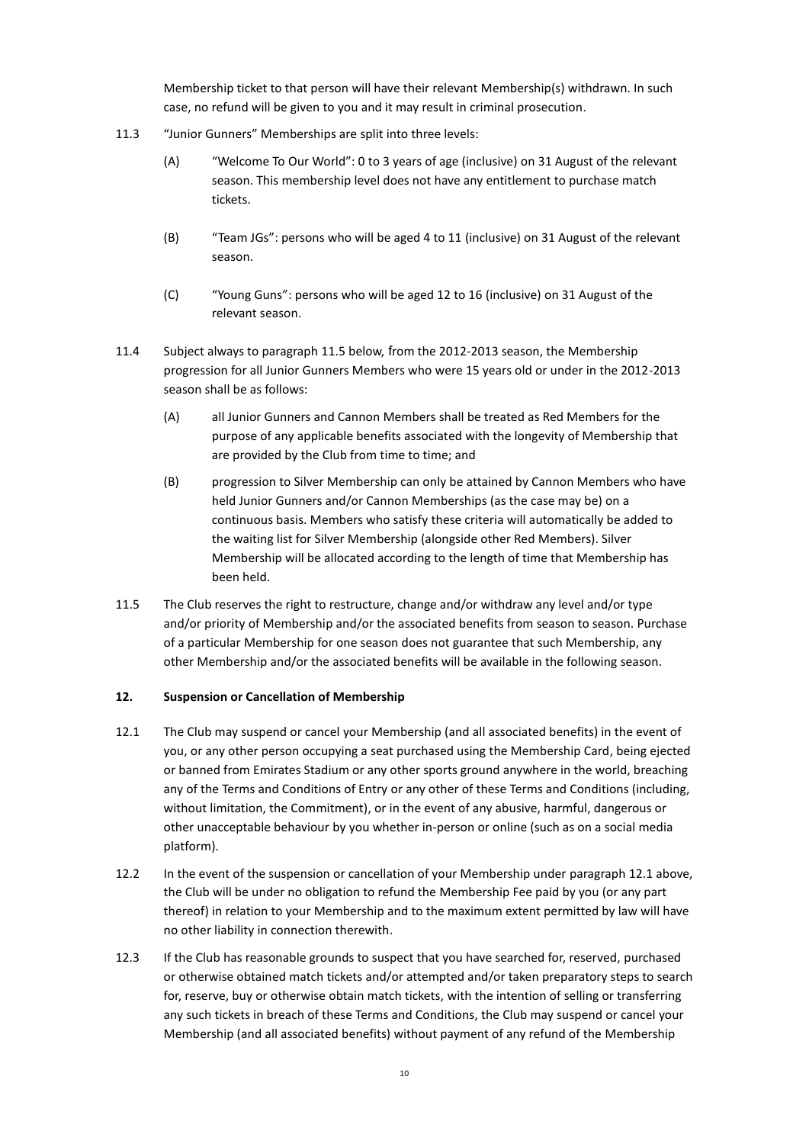Membership ticket to that person will have their relevant Membership(s) withdrawn. In such case, no refund will be given to you and it may result in criminal prosecution.

- 11.3 "Junior Gunners" Memberships are split into three levels:
	- (A) "Welcome To Our World": 0 to 3 years of age (inclusive) on 31 August of the relevant season. This membership level does not have any entitlement to purchase match tickets.
	- (B) "Team JGs": persons who will be aged 4 to 11 (inclusive) on 31 August of the relevant season.
	- (C) "Young Guns": persons who will be aged 12 to 16 (inclusive) on 31 August of the relevant season.
- 11.4 Subject always to paragraph 11.5 below, from the 2012-2013 season, the Membership progression for all Junior Gunners Members who were 15 years old or under in the 2012-2013 season shall be as follows:
	- (A) all Junior Gunners and Cannon Members shall be treated as Red Members for the purpose of any applicable benefits associated with the longevity of Membership that are provided by the Club from time to time; and
	- (B) progression to Silver Membership can only be attained by Cannon Members who have held Junior Gunners and/or Cannon Memberships (as the case may be) on a continuous basis. Members who satisfy these criteria will automatically be added to the waiting list for Silver Membership (alongside other Red Members). Silver Membership will be allocated according to the length of time that Membership has been held.
- 11.5 The Club reserves the right to restructure, change and/or withdraw any level and/or type and/or priority of Membership and/or the associated benefits from season to season. Purchase of a particular Membership for one season does not guarantee that such Membership, any other Membership and/or the associated benefits will be available in the following season.

## **12. Suspension or Cancellation of Membership**

- <span id="page-9-0"></span>12.1 The Club may suspend or cancel your Membership (and all associated benefits) in the event of you, or any other person occupying a seat purchased using the Membership Card, being ejected or banned from Emirates Stadium or any other sports ground anywhere in the world, breaching any of the Terms and Conditions of Entry or any other of these Terms and Conditions (including, without limitation, the Commitment), or in the event of any abusive, harmful, dangerous or other unacceptable behaviour by you whether in-person or online (such as on a social media platform).
- 12.2 In the event of the suspension or cancellation of your Membership under paragraph [12.1](#page-9-0) above, the Club will be under no obligation to refund the Membership Fee paid by you (or any part thereof) in relation to your Membership and to the maximum extent permitted by law will have no other liability in connection therewith.
- 12.3 If the Club has reasonable grounds to suspect that you have searched for, reserved, purchased or otherwise obtained match tickets and/or attempted and/or taken preparatory steps to search for, reserve, buy or otherwise obtain match tickets, with the intention of selling or transferring any such tickets in breach of these Terms and Conditions, the Club may suspend or cancel your Membership (and all associated benefits) without payment of any refund of the Membership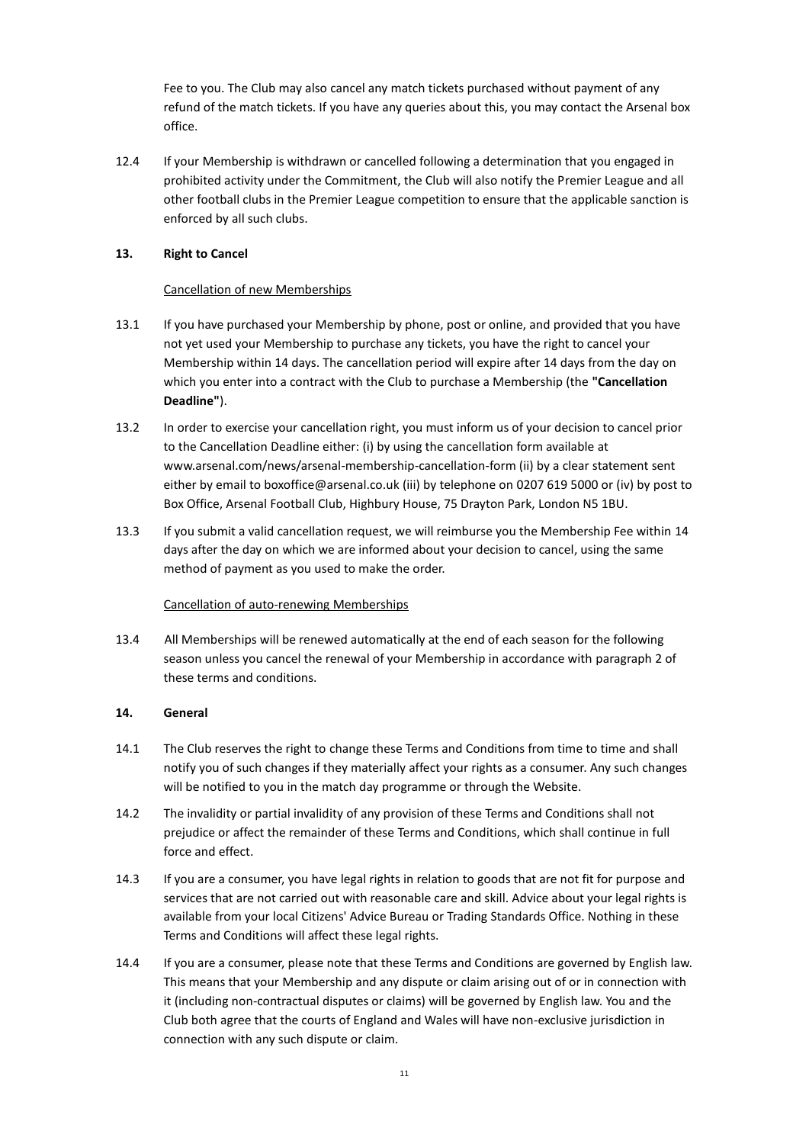Fee to you. The Club may also cancel any match tickets purchased without payment of any refund of the match tickets. If you have any queries about this, you may contact the Arsenal box office.

12.4 If your Membership is withdrawn or cancelled following a determination that you engaged in prohibited activity under the Commitment, the Club will also notify the Premier League and all other football clubs in the Premier League competition to ensure that the applicable sanction is enforced by all such clubs.

## **13. Right to Cancel**

## Cancellation of new Memberships

- 13.1 If you have purchased your Membership by phone, post or online, and provided that you have not yet used your Membership to purchase any tickets, you have the right to cancel your Membership within 14 days. The cancellation period will expire after 14 days from the day on which you enter into a contract with the Club to purchase a Membership (the **"Cancellation Deadline"**).
- 13.2 In order to exercise your cancellation right, you must inform us of your decision to cancel prior to the Cancellation Deadline either: (i) by using the cancellation form available at [www.arsenal.com/news/arsenal-membership-cancellation-form](http://www.arsenal.com/news/arsenal-membership-cancellation-form) (ii) by a clear statement sent either by email t[o boxoffice@arsenal.co.uk](mailto:boxoffice@arsenal.co.uk) (iii) by telephone on 0207 619 5000 or (iv) by post to Box Office, Arsenal Football Club, Highbury House, 75 Drayton Park, London N5 1BU.
- 13.3 If you submit a valid cancellation request, we will reimburse you the Membership Fee within 14 days after the day on which we are informed about your decision to cancel, using the same method of payment as you used to make the order.

## Cancellation of auto-renewing Memberships

13.4 All Memberships will be renewed automatically at the end of each season for the following season unless you cancel the renewal of your Membership in accordance with paragraph 2 of these terms and conditions.

## **14. General**

- 14.1 The Club reserves the right to change these Terms and Conditions from time to time and shall notify you of such changes if they materially affect your rights as a consumer. Any such changes will be notified to you in the match day programme or through the Website.
- 14.2 The invalidity or partial invalidity of any provision of these Terms and Conditions shall not prejudice or affect the remainder of these Terms and Conditions, which shall continue in full force and effect.
- 14.3 If you are a consumer, you have legal rights in relation to goods that are not fit for purpose and services that are not carried out with reasonable care and skill. Advice about your legal rights is available from your local Citizens' Advice Bureau or Trading Standards Office. Nothing in these Terms and Conditions will affect these legal rights.
- 14.4 If you are a consumer, please note that these Terms and Conditions are governed by English law. This means that your Membership and any dispute or claim arising out of or in connection with it (including non-contractual disputes or claims) will be governed by English law. You and the Club both agree that the courts of England and Wales will have non-exclusive jurisdiction in connection with any such dispute or claim.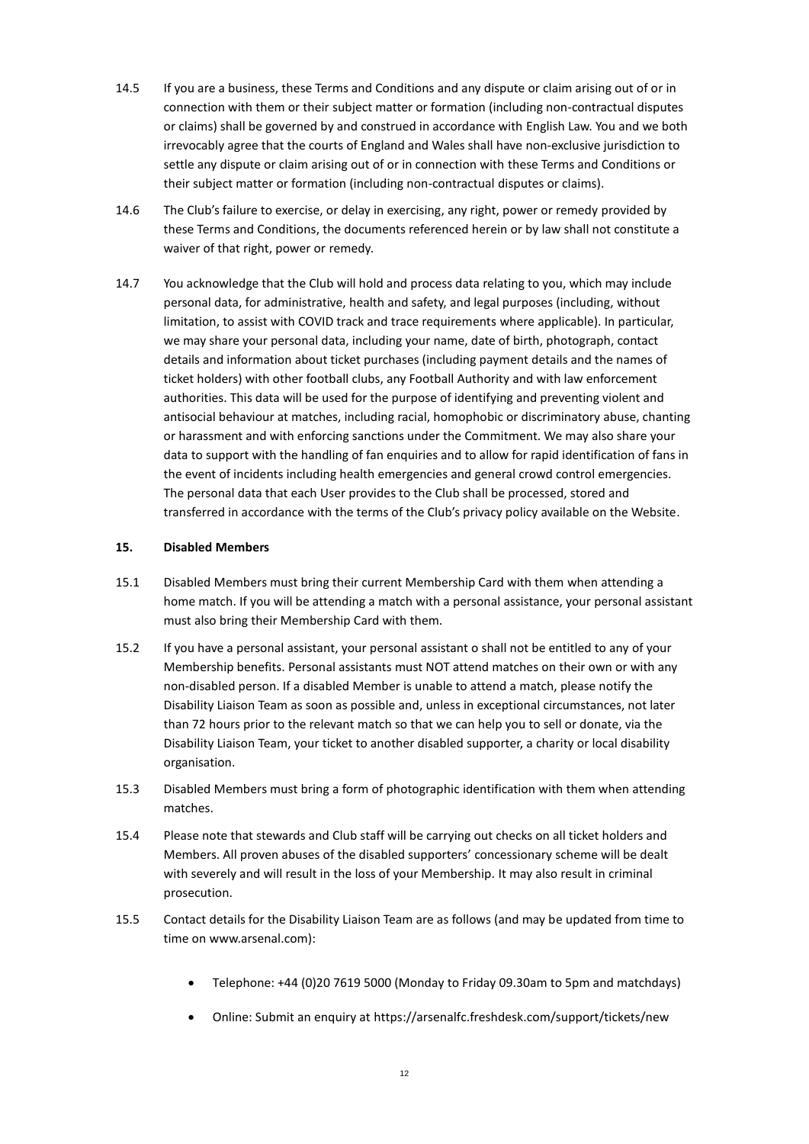- 14.5 If you are a business, these Terms and Conditions and any dispute or claim arising out of or in connection with them or their subject matter or formation (including non-contractual disputes or claims) shall be governed by and construed in accordance with English Law. You and we both irrevocably agree that the courts of England and Wales shall have non-exclusive jurisdiction to settle any dispute or claim arising out of or in connection with these Terms and Conditions or their subject matter or formation (including non-contractual disputes or claims).
- 14.6 The Club's failure to exercise, or delay in exercising, any right, power or remedy provided by these Terms and Conditions, the documents referenced herein or by law shall not constitute a waiver of that right, power or remedy.
- 14.7 You acknowledge that the Club will hold and process data relating to you, which may include personal data, for administrative, health and safety, and legal purposes (including, without limitation, to assist with COVID track and trace requirements where applicable). In particular, we may share your personal data, including your name, date of birth, photograph, contact details and information about ticket purchases (including payment details and the names of ticket holders) with other football clubs, any Football Authority and with law enforcement authorities. This data will be used for the purpose of identifying and preventing violent and antisocial behaviour at matches, including racial, homophobic or discriminatory abuse, chanting or harassment and with enforcing sanctions under the Commitment. We may also share your data to support with the handling of fan enquiries and to allow for rapid identification of fans in the event of incidents including health emergencies and general crowd control emergencies. The personal data that each User provides to the Club shall be processed, stored and transferred in accordance with the terms of the Club's privacy policy available on the Website.

## **15. Disabled Members**

- 15.1 Disabled Members must bring their current Membership Card with them when attending a home match. If you will be attending a match with a personal assistance, your personal assistant must also bring their Membership Card with them.
- 15.2 If you have a personal assistant, your personal assistant o shall not be entitled to any of your Membership benefits. Personal assistants must NOT attend matches on their own or with any non-disabled person. If a disabled Member is unable to attend a match, please notify the Disability Liaison Team as soon as possible and, unless in exceptional circumstances, not later than 72 hours prior to the relevant match so that we can help you to sell or donate, via the Disability Liaison Team, your ticket to another disabled supporter, a charity or local disability organisation.
- 15.3 Disabled Members must bring a form of photographic identification with them when attending matches.
- 15.4 Please note that stewards and Club staff will be carrying out checks on all ticket holders and Members. All proven abuses of the disabled supporters' concessionary scheme will be dealt with severely and will result in the loss of your Membership. It may also result in criminal prosecution.
- 15.5 Contact details for the Disability Liaison Team are as follows (and may be updated from time to time on www.arsenal.com):
	- Telephone: +44 (0)20 7619 5000 (Monday to Friday 09.30am to 5pm and matchdays)
	- Online: Submit an enquiry at https://arsenalfc.freshdesk.com/support/tickets/new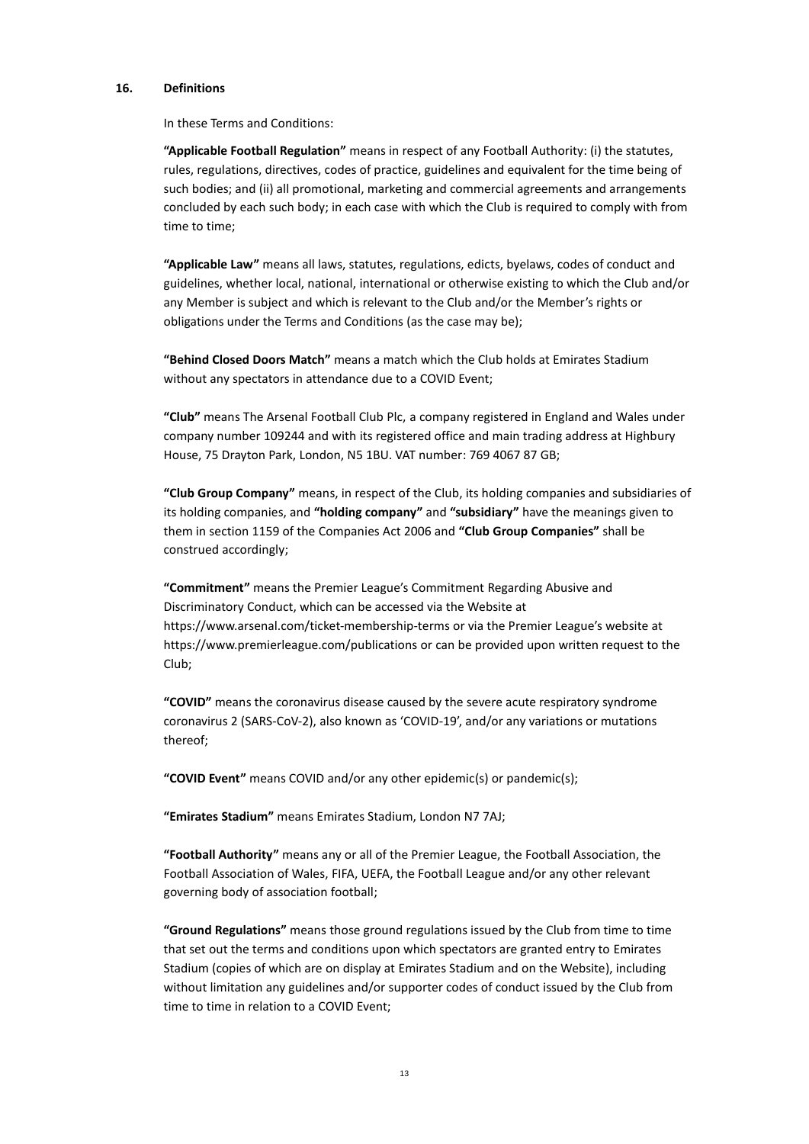#### **16. Definitions**

In these Terms and Conditions:

**"Applicable Football Regulation"** means in respect of any Football Authority: (i) the statutes, rules, regulations, directives, codes of practice, guidelines and equivalent for the time being of such bodies; and (ii) all promotional, marketing and commercial agreements and arrangements concluded by each such body; in each case with which the Club is required to comply with from time to time;

**"Applicable Law"** means all laws, statutes, regulations, edicts, byelaws, codes of conduct and guidelines, whether local, national, international or otherwise existing to which the Club and/or any Member is subject and which is relevant to the Club and/or the Member's rights or obligations under the Terms and Conditions (as the case may be);

**"Behind Closed Doors Match"** means a match which the Club holds at Emirates Stadium without any spectators in attendance due to a COVID Event;

**"Club"** means The Arsenal Football Club Plc, a company registered in England and Wales under company number 109244 and with its registered office and main trading address at Highbury House, 75 Drayton Park, London, N5 1BU. VAT number: 769 4067 87 GB;

**"Club Group Company"** means, in respect of the Club, its holding companies and subsidiaries of its holding companies, and **"holding company"** and **"subsidiary"** have the meanings given to them in section 1159 of the Companies Act 2006 and **"Club Group Companies"** shall be construed accordingly;

**"Commitment"** means the Premier League's Commitment Regarding Abusive and Discriminatory Conduct, which can be accessed via the Website at https://www.arsenal.com/ticket-membership-terms or via the Premier League's website at https://www.premierleague.com/publications or can be provided upon written request to the Club;

**"COVID"** means the coronavirus disease caused by the severe acute respiratory syndrome coronavirus 2 (SARS-CoV-2), also known as 'COVID-19', and/or any variations or mutations thereof;

**"COVID Event"** means COVID and/or any other epidemic(s) or pandemic(s);

**"Emirates Stadium"** means Emirates Stadium, London N7 7AJ;

**"Football Authority"** means any or all of the Premier League, the Football Association, the Football Association of Wales, FIFA, UEFA, the Football League and/or any other relevant governing body of association football;

**"Ground Regulations"** means those ground regulations issued by the Club from time to time that set out the terms and conditions upon which spectators are granted entry to Emirates Stadium (copies of which are on display at Emirates Stadium and on the Website), including without limitation any guidelines and/or supporter codes of conduct issued by the Club from time to time in relation to a COVID Event;